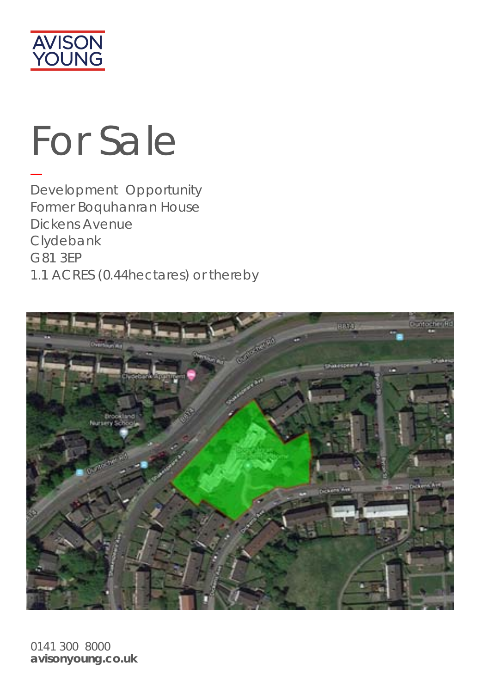

# For Sale

Development Opportunity Former Boquhanran House Dickens Avenue Clydebank G81 3EP 1.1 ACRES (0.44hectares) or thereby